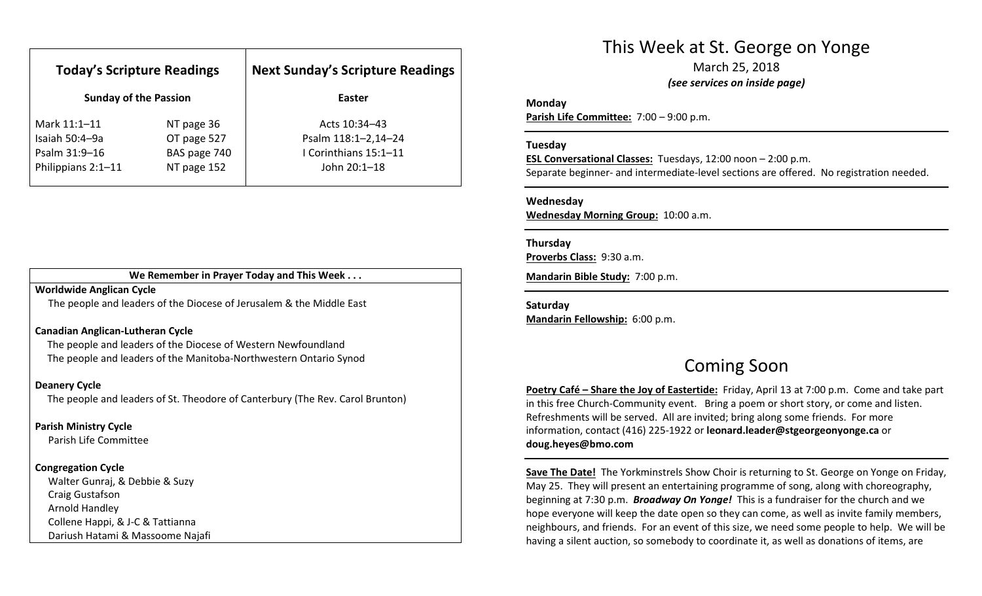| <b>Today's Scripture Readings</b>                     |                                            | <b>Next Sunday's Scripture Readings</b>                      |
|-------------------------------------------------------|--------------------------------------------|--------------------------------------------------------------|
| <b>Sunday of the Passion</b>                          |                                            | Easter                                                       |
| Mark 11:1-11                                          | NT page 36                                 | Acts 10:34-43                                                |
| Isaiah 50:4-9a<br>Psalm 31:9-16<br>Philippians 2:1-11 | OT page 527<br>BAS page 740<br>NT page 152 | Psalm 118:1-2,14-24<br>I Corinthians 15:1-11<br>John 20:1-18 |

#### We Remember in Prayer Today and This Week . . .

#### Worldwide Anglican Cycle

The people and leaders of the Diocese of Jerusalem & the Middle East

#### Canadian Anglican-Lutheran Cycle

The people and leaders of the Diocese of Western Newfoundland The people and leaders of the Manitoba-Northwestern Ontario Synod

#### Deanery Cycle

The people and leaders of St. Theodore of Canterbury (The Rev. Carol Brunton)

#### Parish Ministry Cycle

Parish Life Committee

#### Congregation Cycle

Walter Gunraj, & Debbie & Suzy Craig Gustafson Arnold Handley Collene Happi, & J-C & Tattianna Dariush Hatami & Massoome Najafi

# This Week at St. George on Yonge

March 25, 2018 (see services on inside page)

#### Monday

Parish Life Committee: 7:00 – 9:00 p.m.

#### Tuesday

ESL Conversational Classes: Tuesdays, 12:00 noon – 2:00 p.m. Separate beginner- and intermediate-level sections are offered. No registration needed.

#### Wednesday

Wednesday Morning Group: 10:00 a.m.

#### Thursday

Proverbs Class: 9:30 a.m.

Mandarin Bible Study: 7:00 p.m.

Saturday Mandarin Fellowship: 6:00 p.m.

## Coming Soon

Poetry Café – Share the Joy of Eastertide: Friday, April 13 at 7:00 p.m. Come and take partin this free Church-Community event. Bring a poem or short story, or come and listen. Refreshments will be served. All are invited; bring along some friends. For more information, contact (416) 225-1922 or leonard.leader@stgeorgeonyonge.ca or doug.heyes@bmo.com

Save The Date! The Yorkminstrels Show Choir is returning to St. George on Yonge on Friday, May 25. They will present an entertaining programme of song, along with choreography, beginning at 7:30 p.m. **Broadway On Yonge!** This is a fundraiser for the church and we hope everyone will keep the date open so they can come, as well as invite family members, neighbours, and friends. For an event of this size, we need some people to help. We will be having a silent auction, so somebody to coordinate it, as well as donations of items, are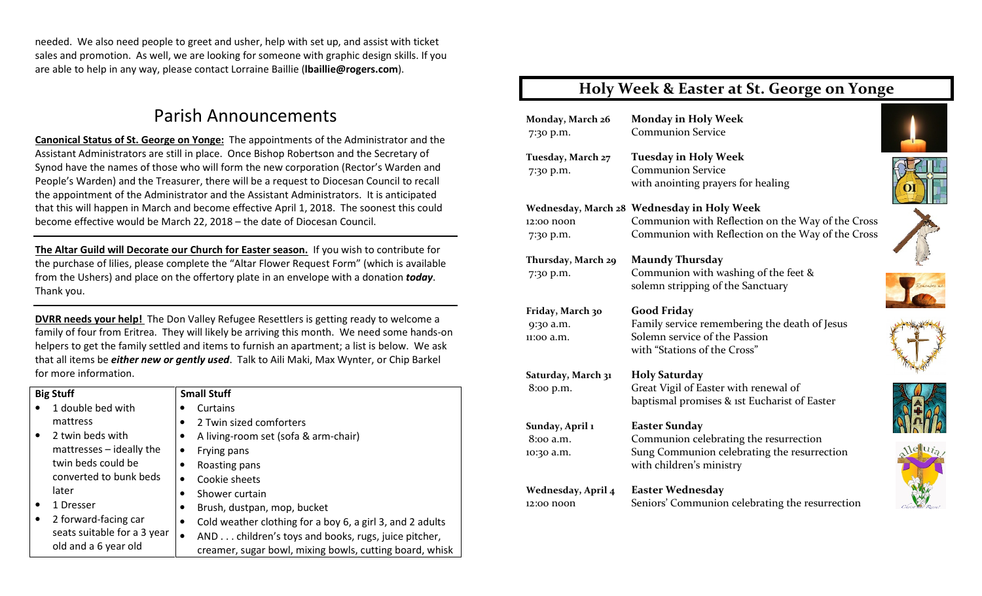needed. We also need people to greet and usher, help with set up, and assist with ticket sales and promotion. As well, we are looking for someone with graphic design skills. If you are able to help in any way, please contact Lorraine Baillie (lbaillie@rogers.com).

# Parish Announcements

Canonical Status of St. George on Yonge: The appointments of the Administrator and the Assistant Administrators are still in place. Once Bishop Robertson and the Secretary of Synod have the names of those who will form the new corporation (Rector's Warden and People's Warden) and the Treasurer, there will be a request to Diocesan Council to recall the appointment of the Administrator and the Assistant Administrators. It is anticipated that this will happen in March and become effective April 1, 2018. The soonest this could become effective would be March 22, 2018 – the date of Diocesan Council.

The Altar Guild will Decorate our Church for Easter season. If you wish to contribute for the purchase of lilies, please complete the "Altar Flower Request Form" (which is available from the Ushers) and place on the offertory plate in an envelope with a donation **today**. Thank you.

DVRR needs your help! The Don Valley Refugee Resettlers is getting ready to welcome a family of four from Eritrea. They will likely be arriving this month. We need some hands-on helpers to get the family settled and items to furnish an apartment; a list is below. We ask that all items be *either new or gently used*. Talk to Aili Maki, Max Wynter, or Chip Barkel for more information.

| <b>Big Stuff</b> |                                                     | <b>Small Stuff</b>                                                                                                  |  |
|------------------|-----------------------------------------------------|---------------------------------------------------------------------------------------------------------------------|--|
|                  | 1 double bed with                                   | Curtains                                                                                                            |  |
|                  | mattress                                            | 2 Twin sized comforters<br>٠                                                                                        |  |
| $\bullet$        | 2 twin beds with                                    | A living-room set (sofa & arm-chair)                                                                                |  |
|                  | $matterses - ideally$ the                           | Frying pans                                                                                                         |  |
|                  | twin beds could be                                  | Roasting pans                                                                                                       |  |
|                  | converted to bunk beds                              | Cookie sheets<br>٠                                                                                                  |  |
|                  | later                                               | Shower curtain<br>٠                                                                                                 |  |
|                  | 1 Dresser                                           | Brush, dustpan, mop, bucket                                                                                         |  |
|                  | 2 forward-facing car                                | Cold weather clothing for a boy 6, a girl 3, and 2 adults                                                           |  |
|                  | seats suitable for a 3 year<br>old and a 6 year old | AND children's toys and books, rugs, juice pitcher,<br>٠<br>creamer, sugar bowl, mixing bowls, cutting board, whisk |  |

### Holy Week & Easter at St. George on Yonge

| Monday, March 26<br>7:30 p.m.               | <b>Monday in Holy Week</b><br><b>Communion Service</b>                                                                                               |  |
|---------------------------------------------|------------------------------------------------------------------------------------------------------------------------------------------------------|--|
| Tuesday, March 27<br>7:30 p.m.              | <b>Tuesday in Holy Week</b><br><b>Communion Service</b><br>with anointing prayers for healing                                                        |  |
| 12:00 noon<br>7:30 p.m.                     | Wednesday, March 28 Wednesday in Holy Week<br>Communion with Reflection on the Way of the Cross<br>Communion with Reflection on the Way of the Cross |  |
| Thursday, March 29<br>7:30 p.m.             | <b>Maundy Thursday</b><br>Communion with washing of the feet &<br>solemn stripping of the Sanctuary                                                  |  |
| Friday, March 30<br>9:30 a.m.<br>11:00 a.m. | <b>Good Friday</b><br>Family service remembering the death of Jesus<br>Solemn service of the Passion<br>with "Stations of the Cross"                 |  |
| Saturday, March 31<br>8:00 p.m.             | <b>Holy Saturday</b><br>Great Vigil of Easter with renewal of<br>baptismal promises & 1st Eucharist of Easter                                        |  |
| Sunday, April 1<br>8:00 a.m.<br>10:30 a.m.  | <b>Easter Sunday</b><br>Communion celebrating the resurrection<br>Sung Communion celebrating the resurrection<br>with children's ministry            |  |
| Wednesday, April 4<br>12:00 noon            | <b>Easter Wednesday</b><br>Seniors' Communion celebrating the resurrection                                                                           |  |